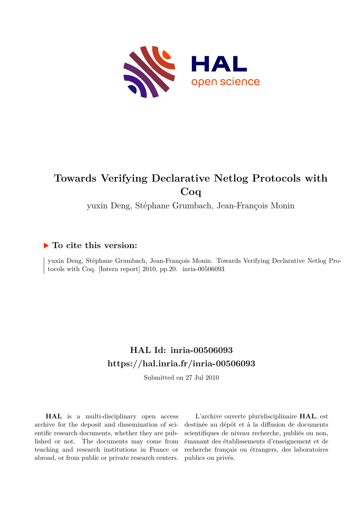

# **Towards Verifying Declarative Netlog Protocols with Coq**

yuxin Deng, Stéphane Grumbach, Jean-François Monin

## **To cite this version:**

yuxin Deng, Stéphane Grumbach, Jean-François Monin. Towards Verifying Declarative Netlog Protocols with Coq. [Intern report]  $2010$ , pp.20. inria-00506093

# **HAL Id: inria-00506093 <https://hal.inria.fr/inria-00506093>**

Submitted on 27 Jul 2010

**HAL** is a multi-disciplinary open access archive for the deposit and dissemination of scientific research documents, whether they are published or not. The documents may come from teaching and research institutions in France or abroad, or from public or private research centers.

L'archive ouverte pluridisciplinaire **HAL**, est destinée au dépôt et à la diffusion de documents scientifiques de niveau recherche, publiés ou non, émanant des établissements d'enseignement et de recherche français ou étrangers, des laboratoires publics ou privés.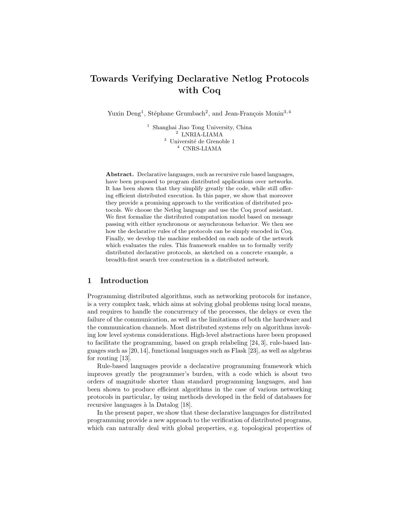## Towards Verifying Declarative Netlog Protocols with Coq

Yuxin Deng<sup>1</sup>, Stéphane Grumbach<sup>2</sup>, and Jean-François Monin<sup>3,4</sup>

<sup>1</sup> Shanghai Jiao Tong University, China <sup>2</sup> LNRIA-LIAMA  $^3$ Université de Grenoble  $1$ <sup>4</sup> CNRS-LIAMA

Abstract. Declarative languages, such as recursive rule based languages, have been proposed to program distributed applications over networks. It has been shown that they simplify greatly the code, while still offering efficient distributed execution. In this paper, we show that moreover they provide a promising approach to the verification of distributed protocols. We choose the Netlog language and use the Coq proof assistant. We first formalize the distributed computation model based on message passing with either synchronous or asynchronous behavior. We then see how the declarative rules of the protocols can be simply encoded in Coq. Finally, we develop the machine embedded on each node of the network which evaluates the rules. This framework enables us to formally verify distributed declarative protocols, as sketched on a concrete example, a breadth-first search tree construction in a distributed network.

#### 1 Introduction

Programming distributed algorithms, such as networking protocols for instance, is a very complex task, which aims at solving global problems using local means, and requires to handle the concurrency of the processes, the delays or even the failure of the communication, as well as the limitations of both the hardware and the communication channels. Most distributed systems rely on algorithms invoking low level systems considerations. High-level abstractions have been proposed to facilitate the programming, based on graph relabeling [24, 3], rule-based languages such as [20, 14], functional languages such as Flask [23], as well as algebras for routing [13].

Rule-based languages provide a declarative programming framework which improves greatly the programmer's burden, with a code which is about two orders of magnitude shorter than standard programming languages, and has been shown to produce efficient algorithms in the case of various networking protocols in particular, by using methods developed in the field of databases for recursive languages à la Datalog [18].

In the present paper, we show that these declarative languages for distributed programming provide a new approach to the verification of distributed programs, which can naturally deal with global properties, e.g. topological properties of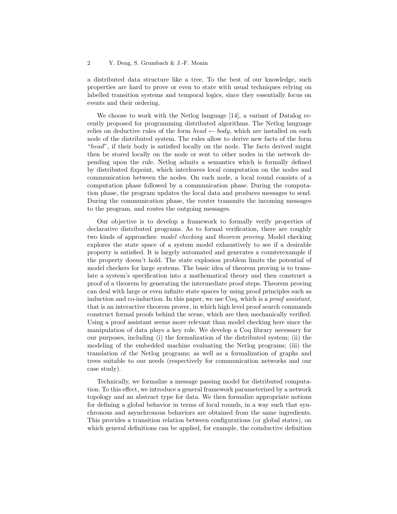a distributed data structure like a tree. To the best of our knowledge, such properties are hard to prove or even to state with usual techniques relying on labelled transition systems and temporal logics, since they essentially focus on events and their ordering.

We choose to work with the Netlog language [14], a variant of Datalog recently proposed for programming distributed algorithms. The Netlog language relies on deductive rules of the form  $head \leftarrow body$ , which are installed on each node of the distributed system. The rules allow to derive new facts of the form "head", if their body is satisfied locally on the node. The facts derived might then be stored locally on the node or sent to other nodes in the network depending upon the rule. Netlog admits a semantics which is formally defined by distributed fixpoint, which interleaves local computation on the nodes and communication between the nodes. On each node, a local round consists of a computation phase followed by a communication phase. During the computation phase, the program updates the local data and produces messages to send. During the communication phase, the router transmits the incoming messages to the program, and routes the outgoing messages.

Our objective is to develop a framework to formally verify properties of declarative distributed programs. As to formal verification, there are roughly two kinds of approaches: model checking and theorem proving. Model checking explores the state space of a system model exhaustively to see if a desirable property is satisfied. It is largely automated and generates a counterexample if the property doesn't hold. The state explosion problem limits the potential of model checkers for large systems. The basic idea of theorem proving is to translate a system's specification into a mathematical theory and then construct a proof of a theorem by generating the intermediate proof steps. Theorem proving can deal with large or even infinite state spaces by using proof principles such as induction and co-induction. In this paper, we use Coq, which is a *proof assistant*, that is an interactive theorem prover, in which high level proof search commands construct formal proofs behind the scene, which are then mechanically verified. Using a proof assistant seems more relevant than model checking here since the manipulation of data plays a key role. We develop a Coq library necessary for our purposes, including (i) the formalization of the distributed system; (ii) the modeling of the embedded machine evaluating the Netlog programs; (iii) the translation of the Netlog programs; as well as a formalization of graphs and trees suitable to our needs (respectively for communication networks and our case study).

Technically, we formalize a message passing model for distributed computation. To this effect, we introduce a general framework parameterized by a network topology and an abstract type for data. We then formalize appropriate notions for defining a global behavior in terms of local rounds, in a way such that synchronous and asynchronous behaviors are obtained from the same ingredients. This provides a transition relation between configurations (or global states), on which general definitions can be applied, for example, the coinductive definition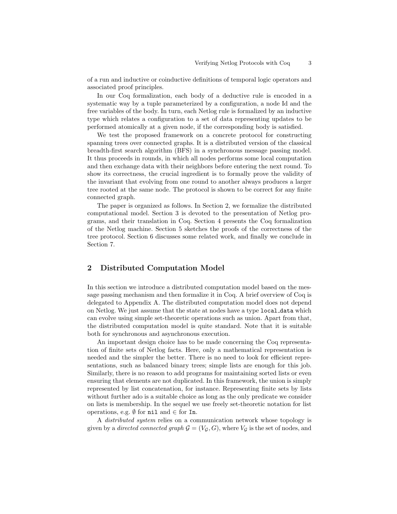of a run and inductive or coinductive definitions of temporal logic operators and associated proof principles.

In our Coq formalization, each body of a deductive rule is encoded in a systematic way by a tuple parameterized by a configuration, a node Id and the free variables of the body. In turn, each Netlog rule is formalized by an inductive type which relates a configuration to a set of data representing updates to be performed atomically at a given node, if the corresponding body is satisfied.

We test the proposed framework on a concrete protocol for constructing spanning trees over connected graphs. It is a distributed version of the classical breadth-first search algorithm (BFS) in a synchronous message passing model. It thus proceeds in rounds, in which all nodes performs some local computation and then exchange data with their neighbors before entering the next round. To show its correctness, the crucial ingredient is to formally prove the validity of the invariant that evolving from one round to another always produces a larger tree rooted at the same node. The protocol is shown to be correct for any finite connected graph.

The paper is organized as follows. In Section 2, we formalize the distributed computational model. Section 3 is devoted to the presentation of Netlog programs, and their translation in Coq. Section 4 presents the Coq formalization of the Netlog machine. Section 5 sketches the proofs of the correctness of the tree protocol. Section 6 discusses some related work, and finally we conclude in Section 7.

## 2 Distributed Computation Model

In this section we introduce a distributed computation model based on the message passing mechanism and then formalize it in Coq. A brief overview of Coq is delegated to Appendix A. The distributed computation model does not depend on Netlog. We just assume that the state at nodes have a type local data which can evolve using simple set-theoretic operations such as union. Apart from that, the distributed computation model is quite standard. Note that it is suitable both for synchronous and asynchronous execution.

An important design choice has to be made concerning the Coq representation of finite sets of Netlog facts. Here, only a mathematical representation is needed and the simpler the better. There is no need to look for efficient representations, such as balanced binary trees; simple lists are enough for this job. Similarly, there is no reason to add programs for maintaining sorted lists or even ensuring that elements are not duplicated. In this framework, the union is simply represented by list concatenation, for instance. Representing finite sets by lists without further ado is a suitable choice as long as the only predicate we consider on lists is membership. In the sequel we use freely set-theoretic notation for list operations, e.g.  $\emptyset$  for  $\texttt{nil}$  and  $\in$  for  $\texttt{In}$ .

A distributed system relies on a communication network whose topology is given by a *directed connected graph*  $G = (V_G, G)$ , where  $V_G$  is the set of nodes, and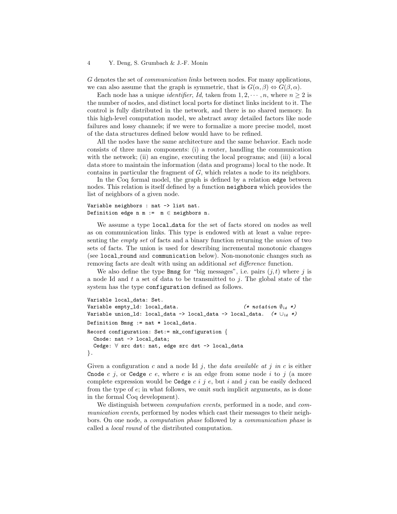#### 4 Y. Deng, S. Grumbach & J.-F. Monin

G denotes the set of communication links between nodes. For many applications, we can also assume that the graph is symmetric, that is  $G(\alpha, \beta) \Leftrightarrow G(\beta, \alpha)$ .

Each node has a unique *identifier*, *Id*, taken from  $1, 2, \dots, n$ , where  $n \geq 2$  is the number of nodes, and distinct local ports for distinct links incident to it. The control is fully distributed in the network, and there is no shared memory. In this high-level computation model, we abstract away detailed factors like node failures and lossy channels; if we were to formalize a more precise model, most of the data structures defined below would have to be refined.

All the nodes have the same architecture and the same behavior. Each node consists of three main components: (i) a router, handling the communication with the network; (ii) an engine, executing the local programs; and (iii) a local data store to maintain the information (data and programs) local to the node. It contains in particular the fragment of G, which relates a node to its neighbors.

In the Coq formal model, the graph is defined by a relation edge between nodes. This relation is itself defined by a function neighbors which provides the list of neighbors of a given node.

```
Variable neighbors : nat -> list nat.
Definition edge n m := m \in neighbors n.
```
We assume a type local data for the set of facts stored on nodes as well as on communication links. This type is endowed with at least a value representing the empty set of facts and a binary function returning the union of two sets of facts. The union is used for describing incremental monotonic changes (see local round and communication below). Non-monotonic changes such as removing facts are dealt with using an additional set difference function.

We also define the type Bmsg for "big messages", i.e. pairs  $(j, t)$  where j is a node Id and  $t$  a set of data to be transmitted to j. The global state of the system has the type configuration defined as follows.

```
Variable local_data: Set.
Variable empty_ld: local_data. (*) (* notation \emptyset_{ld} *)
Variable union_ld: local_data -> local_data -> local_data. (*)Definition Bmsg := nat * local_data.
Record configuration: Set:= mk_configuration {
 Cnode: nat -> local_data;
  Cedge: ∀ src dst: nat, edge src dst -> local_data
}.
```
Given a configuration c and a node Id j, the data available at j in c is either Cnode c j, or Cedge c e, where e is an edge from some node i to j (a more complete expression would be Cedge  $c \, i \, j \, e$ , but i and j can be easily deduced from the type of e; in what follows, we omit such implicit arguments, as is done in the formal Coq development).

We distinguish between *computation events*, performed in a node, and *com*munication events, performed by nodes which cast their messages to their neighbors. On one node, a computation phase followed by a communication phase is called a local round of the distributed computation.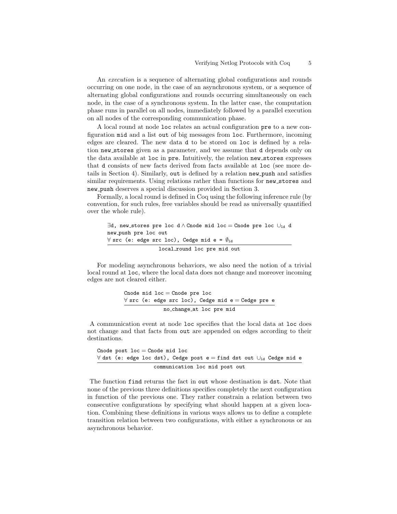An execution is a sequence of alternating global configurations and rounds occurring on one node, in the case of an asynchronous system, or a sequence of alternating global configurations and rounds occurring simultaneously on each node, in the case of a synchronous system. In the latter case, the computation phase runs in parallel on all nodes, immediately followed by a parallel execution on all nodes of the corresponding communication phase.

A local round at node loc relates an actual configuration pre to a new configuration mid and a list out of big messages from loc. Furthermore, incoming edges are cleared. The new data d to be stored on loc is defined by a relation new stores given as a parameter, and we assume that d depends only on the data available at loc in pre. Intuitively, the relation new stores expresses that d consists of new facts derived from facts available at loc (see more details in Section 4). Similarly, out is defined by a relation new push and satisfies similar requirements. Using relations rather than functions for new stores and new push deserves a special discussion provided in Section 3.

Formally, a local round is defined in Coq using the following inference rule (by convention, for such rules, free variables should be read as universally quantified over the whole rule).

```
\exists d, new_stores pre loc d \wedge Cnode mid loc = Cnode pre loc \cup_{1d} d
new push pre loc out
\forall src (e: edge src loc), Cedge mid e = \emptyset_{\text{1d}}local round loc pre mid out
```
For modeling asynchronous behaviors, we also need the notion of a trivial local round at loc, where the local data does not change and moreover incoming edges are not cleared either.

Cnode mid loc = Cnode pre loc ∀ src (e: edge src loc), Cedge mid e = Cedge pre e no change at loc pre mid

A communication event at node loc specifies that the local data at loc does not change and that facts from out are appended on edges according to their destinations.

```
Cnode post loc = Cnode mid loc∀ dst (e: edge loc dst), Cedge post e = find dst out ∪ld Cedge mid e
                  communication loc mid post out
```
The function find returns the fact in out whose destination is dst. Note that none of the previous three definitions specifies completely the next configuration in function of the previous one. They rather constrain a relation between two consecutive configurations by specifying what should happen at a given location. Combining these definitions in various ways allows us to define a complete transition relation between two configurations, with either a synchronous or an asynchronous behavior.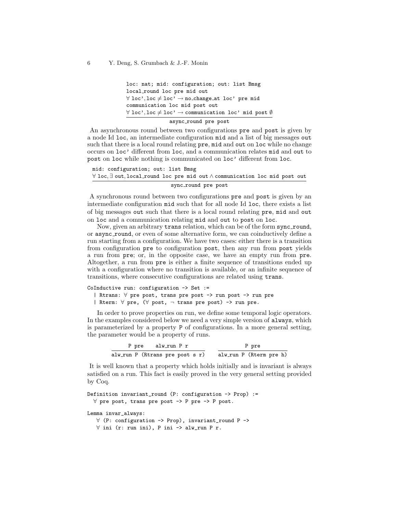```
loc: nat; mid: configuration; out: list Bmsg
local round loc pre mid out
\forall loc', loc \neq loc' \rightarrow no change at loc' pre mid
communication loc mid post out
\forall loc', loc \neq loc' \rightarrow communication loc' mid post \emptysetasync round pre post
```
An asynchronous round between two configurations pre and post is given by a node Id loc, an intermediate configuration mid and a list of big messages out such that there is a local round relating pre, mid and out on loc while no change occurs on loc' different from loc, and a communication relates mid and out to post on loc while nothing is communicated on loc' different from loc.

```
mid: configuration; out: list Bmsg
∀ loc, ∃ out, local round loc pre mid out ∧ communication loc mid post out
                          sync_round pre post
```
A synchronous round between two configurations pre and post is given by an intermediate configuration mid such that for all node Id loc, there exists a list of big messages out such that there is a local round relating pre, mid and out on loc and a communication relating mid and out to post on loc.

Now, given an arbitrary trans relation, which can be of the form sync\_round, or async round, or even of some alternative form, we can coinductively define a run starting from a configuration. We have two cases: either there is a transition from configuration pre to configuration post, then any run from post yields a run from pre; or, in the opposite case, we have an empty run from pre. Altogether, a run from pre is either a finite sequence of transitions ended up with a configuration where no transition is available, or an infinite sequence of transitions, where consecutive configurations are related using trans.

```
CoInductive run: configuration -> Set :=
  | Rtrans: ∀ pre post, trans pre post -> run post -> run pre
  | Rterm: ∀ pre, (∀ post, ¬ trans pre post) -> run pre.
```
In order to prove properties on run, we define some temporal logic operators. In the examples considered below we need a very simple version of always, which is parameterized by a property P of configurations. In a more general setting, the parameter would be a property of runs.

| P pre alw_run P r |  |  | P pre |  |  |  |                                                         |  |  |  |  |
|-------------------|--|--|-------|--|--|--|---------------------------------------------------------|--|--|--|--|
|                   |  |  |       |  |  |  | alw_run P (Rtrans pre post s r) alw_run P (Rterm pre h) |  |  |  |  |

It is well known that a property which holds initially and is invariant is always satisfied on a run. This fact is easily proved in the very general setting provided by Coq.

```
Definition invariant_round (P: configuration \rightarrow Prop) :=
  ∀ pre post, trans pre post -> P pre -> P post.
```
Lemma invar\_always:

```
∀ (P: configuration -> Prop), invariant_round P ->
∀ ini (r: run ini), P ini -> alw_run P r.
```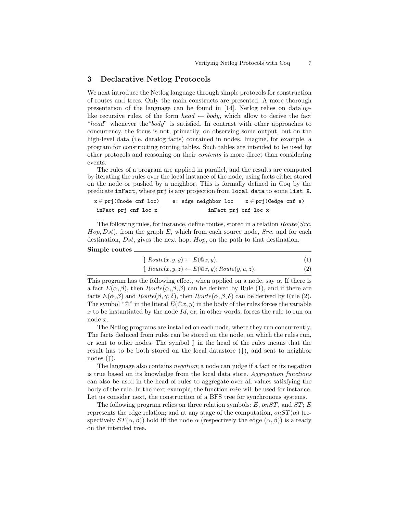#### 3 Declarative Netlog Protocols

We next introduce the Netlog language through simple protocols for construction of routes and trees. Only the main constructs are presented. A more thorough presentation of the language can be found in [14]. Netlog relies on dataloglike recursive rules, of the form  $head \leftarrow body$ , which allow to derive the fact "head" whenever the "body" is satisfied. In contrast with other approaches to concurrency, the focus is not, primarily, on observing some output, but on the high-level data (i.e. datalog facts) contained in nodes. Imagine, for example, a program for constructing routing tables. Such tables are intended to be used by other protocols and reasoning on their contents is more direct than considering events.

The rules of a program are applied in parallel, and the results are computed by iterating the rules over the local instance of the node, using facts either stored on the node or pushed by a neighbor. This is formally defined in Coq by the predicate inFact, where prj is any projection from local data to some list X.

| $x \in prj(Cnode \; cnf \; loc)$ | e: edge neighbor loc | $x \in prj(Cedge cnf e)$ |
|----------------------------------|----------------------|--------------------------|
| inFact prj cnf loc x             | inFact prj cnf loc x |                          |

The following rules, for instance, define routes, stored in a relation Route(Src,  $Hop, Dst)$ , from the graph E, which from each source node,  $Src$ , and for each destination, Dst, gives the next hop,  $Hop$ , on the path to that destination. Simple routes

| $\updownarrow$ Route $(x, y, y) \leftarrow E(\mathbb{Q}x, y).$                      | (1) |
|-------------------------------------------------------------------------------------|-----|
| $\updownarrow$ Route $(x, y, z) \leftarrow E(\mathbb{Q}x, y)$ ; Route $(y, u, z)$ . | (2) |

This program has the following effect, when applied on a node, say  $\alpha$ . If there is a fact  $E(\alpha, \beta)$ , then  $Route(\alpha, \beta, \beta)$  can be derived by Rule (1), and if there are facts  $E(\alpha, \beta)$  and  $Route(\beta, \gamma, \delta)$ , then  $Route(\alpha, \beta, \delta)$  can be derived by Rule (2). The symbol " $\mathbb{Q}$ " in the literal  $E(\mathbb{Q}x, y)$  in the body of the rules forces the variable x to be instantiated by the node  $Id$ , or, in other words, forces the rule to run on node x.

The Netlog programs are installed on each node, where they run concurrently. The facts deduced from rules can be stored on the node, on which the rules run, or sent to other nodes. The symbol  $\uparrow$  in the head of the rules means that the result has to be both stored on the local datastore  $(\downarrow)$ , and sent to neighbor nodes  $(†)$ .

The language also contains negation; a node can judge if a fact or its negation is true based on its knowledge from the local data store. Aggregation functions can also be used in the head of rules to aggregate over all values satisfying the body of the rule. In the next example, the function  $min$  will be used for instance. Let us consider next, the construction of a BFS tree for synchronous systems.

The following program relies on three relation symbols:  $E$ , on  $ST$ , and  $ST$ ;  $E$ represents the edge relation; and at any stage of the computation,  $\omega T(\alpha)$  (respectively  $ST(\alpha, \beta)$ ) hold iff the node  $\alpha$  (respectively the edge  $(\alpha, \beta)$ ) is already on the intended tree.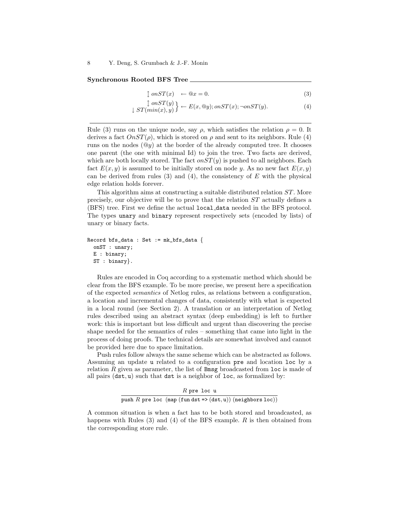#### Synchronous Rooted BFS Tree

$$
\downarrow onST(x) \leftarrow @x = 0. \tag{3}
$$

$$
\left\{\begin{array}{c} \text{on}ST(y) \\ \downarrow ST(min(x), y) \end{array}\right\} \leftarrow E(x, @y); \text{on}ST(x); \neg onST(y). \tag{4}
$$

Rule (3) runs on the unique node, say  $\rho$ , which satisfies the relation  $\rho = 0$ . It derives a fact  $OnST(\rho)$ , which is stored on  $\rho$  and sent to its neighbors. Rule (4) runs on the nodes  $(\mathbb{Q}y)$  at the border of the already computed tree. It chooses one parent (the one with minimal Id) to join the tree. Two facts are derived, which are both locally stored. The fact  $\partial \iota ST(y)$  is pushed to all neighbors. Each fact  $E(x, y)$  is assumed to be initially stored on node y. As no new fact  $E(x, y)$ can be derived from rules (3) and (4), the consistency of  $E$  with the physical edge relation holds forever.

This algorithm aims at constructing a suitable distributed relation ST. More precisely, our objective will be to prove that the relation ST actually defines a (BFS) tree. First we define the actual local data needed in the BFS protocol. The types unary and binary represent respectively sets (encoded by lists) of unary or binary facts.

```
Record bfs_data : Set := mk_bfs_data {
 onST : unary;
 E : binary;
 ST : binary}.
```
Rules are encoded in Coq according to a systematic method which should be clear from the BFS example. To be more precise, we present here a specification of the expected semantics of Netlog rules, as relations between a configuration, a location and incremental changes of data, consistently with what is expected in a local round (see Section 2). A translation or an interpretation of Netlog rules described using an abstract syntax (deep embedding) is left to further work: this is important but less difficult and urgent than discovering the precise shape needed for the semantics of rules – something that came into light in the process of doing proofs. The technical details are somewhat involved and cannot be provided here due to space limitation.

Push rules follow always the same scheme which can be abstracted as follows. Assuming an update u related to a configuration pre and location loc by a relation  $R$  given as parameter, the list of **Bmsg** broadcasted from  $\text{loc}$  is made of all pairs  $(\text{dst}, \text{u})$  such that  $\text{dst}$  is a neighbor of loc, as formalized by:

 $R$  pre loc  $\bm{{\rm u}}$ push  $R$  pre loc (map (fun dst => (dst, u)) (neighbors loc))

A common situation is when a fact has to be both stored and broadcasted, as happens with Rules  $(3)$  and  $(4)$  of the BFS example. R is then obtained from the corresponding store rule.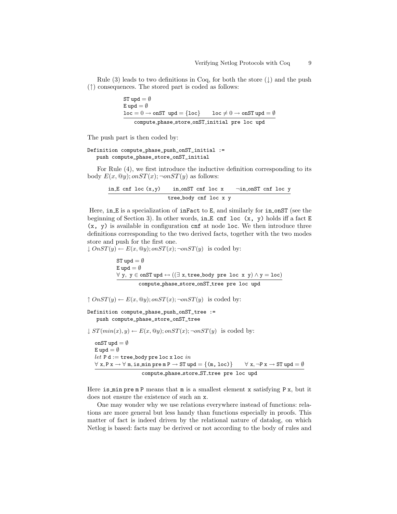Rule (3) leads to two definitions in Coq, for both the store  $(\downarrow)$  and the push (↑) consequences. The stored part is coded as follows:

$$
\begin{aligned} \text{ST upd} & = \emptyset \\ \text{E upd} & = \emptyset \\ \hline \text{loc} & = 0 \rightarrow \text{onST upd} = \{\texttt{loc}\} \qquad \texttt{loc} \neq 0 \rightarrow \text{onST upd} = \emptyset \\ \text{compute-phase\_store-onST\_initial pre loc upd} \end{aligned}
$$

The push part is then coded by:

#### Definition compute\_phase\_push\_onST\_initial := push compute\_phase\_store\_onST\_initial

For Rule (4), we first introduce the inductive definition corresponding to its body  $E(x, \mathbb{Q}y)$ ; on  $ST(x)$ ;  $\neg$ on  $ST(y)$  as follows:

$$
\frac{\text{in.}E \text{ cnf loc}(x,y) \qquad \text{in.} \text{onST cnf loc } x \qquad \text{–in.} \text{onST cnf loc } y}{\text{tree-body cnf loc } x \qquad }
$$

Here, in E is a specialization of inFact to E, and similarly for in onST (see the beginning of Section 3). In other words, in E cnf loc  $(x, y)$  holds iff a fact E  $(x, y)$  is available in configuration cnf at node loc. We then introduce three definitions corresponding to the two derived facts, together with the two modes store and push for the first one.

 $\downarrow$   $OnST(y) \leftarrow E(x, @y); onST(x); \neg onST(y)$  is coded by:

ST upd =  $\emptyset$ E upd =  $\emptyset$  $\forall$  y, y ∈ onST upd  $\leftrightarrow$  (( $\exists$  x, tree\_body pre loc x y)  $\land$  y = loc) compute phase store onST tree pre loc upd

 $\uparrow$   $OnST(y) \leftarrow E(x, \mathcal{Q}y); onST(x); \neg onST(y)$  is coded by:

Definition compute\_phase\_push\_onST\_tree := push compute\_phase\_store\_onST\_tree

 $\downarrow ST(min(x), y) \leftarrow E(x, @y); on ST(x); \neg on ST(y)$  is coded by:

onST upd =  $\emptyset$ E upd  $=\emptyset$  $let \, P \, d := \text{tree-body pre loc x loc } in$  $\forall x, P x \rightarrow \forall m$ , is min pre m  $P \rightarrow ST$  upd  $=\{(m, loc)\}$   $\forall x, \neg P x \rightarrow ST$  upd  $=\emptyset$ compute phase store ST tree pre loc upd

Here is  $min$  pre m P means that m is a smallest element x satisfying P x, but it does not ensure the existence of such an x.

One may wonder why we use relations everywhere instead of functions: relations are more general but less handy than functions especially in proofs. This matter of fact is indeed driven by the relational nature of datalog, on which Netlog is based: facts may be derived or not according to the body of rules and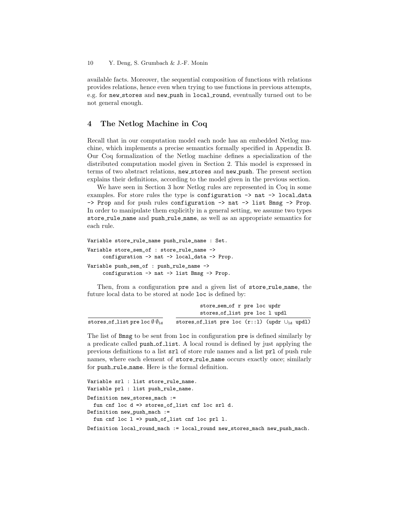available facts. Moreover, the sequential composition of functions with relations provides relations, hence even when trying to use functions in previous attempts, e.g. for new\_stores and new\_push in local\_round, eventually turned out to be not general enough.

## 4 The Netlog Machine in Coq

Recall that in our computation model each node has an embedded Netlog machine, which implements a precise semantics formally specified in Appendix B. Our Coq formalization of the Netlog machine defines a specialization of the distributed computation model given in Section 2. This model is expressed in terms of two abstract relations, new stores and new push. The present section explains their definitions, according to the model given in the previous section.

We have seen in Section 3 how Netlog rules are represented in Coq in some examples. For store rules the type is configuration -> nat -> local data -> Prop and for push rules configuration -> nat -> list Bmsg -> Prop. In order to manipulate them explicitly in a general setting, we assume two types store rule name and push rule name, as well as an appropriate semantics for each rule.

```
Variable store_rule_name push_rule_name : Set.
Variable store_sem_of : store_rule_name ->
     configuration -> nat -> local_data -> Prop.
Variable push_sem_of : push_rule_name ->
     configuration -> nat -> list Bmsg -> Prop.
```
Then, from a configuration pre and a given list of store\_rule\_name, the future local data to be stored at node loc is defined by:

|                                                              | store_sem_of r pre loc updr                             |
|--------------------------------------------------------------|---------------------------------------------------------|
|                                                              | stores_of_list pre loc l updl                           |
| stores_of_list pre loc $\emptyset$ $\emptyset$ <sub>ld</sub> | stores_of_list pre loc $(r::l)$ (updr $\cup_{ld}$ updl) |

The list of Bmsg to be sent from loc in configuration pre is defined similarly by a predicate called push of list. A local round is defined by just applying the previous definitions to a list srl of store rule names and a list prl of push rule names, where each element of store\_rule\_name occurs exactly once; similarly for push rule name. Here is the formal definition.

```
Variable srl : list store_rule_name.
Variable prl : list push_rule_name.
Definition new stores mach :=
 fun cnf loc d => stores_of_list cnf loc srl d.
Definition new_push_mach :=
 fun cnf loc l => push_of_list cnf loc prl l.
Definition local_round_mach := local_round new_stores_mach new_push_mach.
```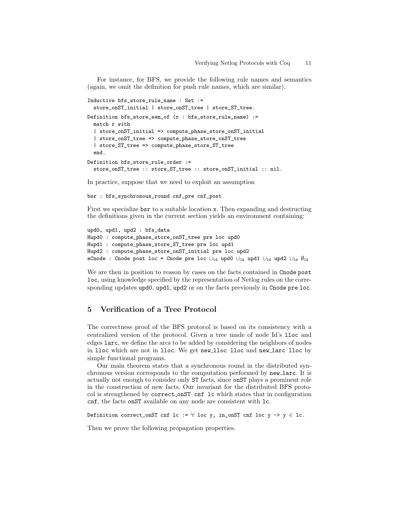For instance, for BFS, we provide the following rule names and semantics (again, we omit the definition for push rule names, which are similar).

```
Inductive bfs_store_rule_name : Set :=
  store_onST_initial | store_onST_tree | store_ST_tree.
Definition bfs_store_sem_of (r : bfs_store_rule_name) :=
 match r with
  | store_onST_initial => compute_phase_store_onST_initial
  | store_onST_tree => compute_phase_store_onST_tree
  | store_ST_tree => compute_phase_store_ST_tree
 end.
Definition bfs_store_rule_order :=
 store_onST_tree :: store_ST_tree :: store_onST_initial :: nil.
```
In practice, suppose that we need to exploit an assumption

bsr : bfs\_synchronous\_round cnf\_pre cnf\_post

First we specialize bsr to a suitable location x. Then expanding and destructing the definitions given in the current section yields an environment containing:

```
upd0, upd1, upd2 : bfs_data
Hupd0 : compute_phase_store_onST_tree pre loc upd0
Hupd1 : compute_phase_store_ST_tree pre loc upd1
Hupd2 : compute_phase_store_onST_initial pre loc upd2
eCnode : Cnode post loc = Cnode pre loc ∪<sub>ld</sub> upd0 ∪<sub>ld</sub> upd1 ∪<sub>ld</sub> upd2 ∪<sub>ld</sub> \emptyset<sub>ld</sub>
```
We are then in position to reason by cases on the facts contained in Cnode post loc, using knowledge specified by the representation of Netlog rules on the corresponding updates upd0, upd1, upd2 or on the facts previously in Cnode pre loc.

## 5 Verification of a Tree Protocol

The correctness proof of the BFS protocol is based on its consistency with a centralized version of the protocol. Given a tree made of node Id's lloc and edges larc, we define the arcs to be added by considering the neighbors of nodes in lloc which are not in lloc. We get new lloc lloc and new larc lloc by simple functional programs.

Our main theorem states that a synchronous round in the distributed synchronous version corresponds to the computation performed by new larc. It is actually not enough to consider only ST facts, since onST plays a prominent role in the construction of new facts. Our invariant for the distributed BFS protocol is strengthened by correct onST cnf lc which states that in configuration cnf, the facts onST available on any node are consistent with lc.

Definition correct\_onST cnf lc :=  $\forall$  loc y, in\_onST cnf loc y -> y  $\in$  lc.

Then we prove the following propagation properties.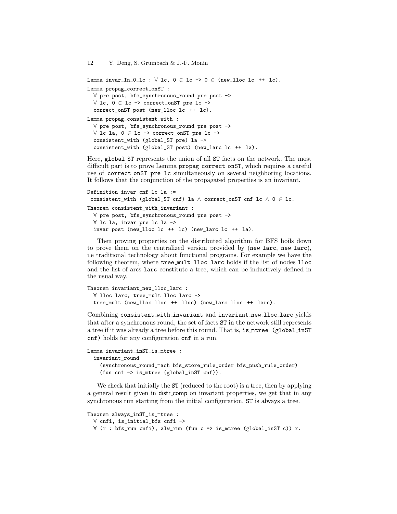Lemma invar\_In\_0\_1c :  $\forall$  1c, 0  $\in$  1c -> 0  $\in$  (new\_11oc 1c ++ 1c). Lemma propag\_correct\_onST : ∀ pre post, bfs\_synchronous\_round pre post -> ∀ lc, 0 ∈ lc -> correct\_onST pre lc -> correct\_onST post (new\_lloc lc ++ lc). Lemma propag\_consistent\_with : ∀ pre post, bfs\_synchronous\_round pre post -> ∀ lc la, 0 ∈ lc -> correct\_onST pre lc -> consistent\_with (global\_ST pre) la -> consistent\_with (global\_ST post) (new\_larc lc ++ la).

Here, global ST represents the union of all ST facts on the network. The most difficult part is to prove Lemma propag correct onST, which requires a careful use of correct onST pre lc simultaneously on several neighboring locations. It follows that the conjunction of the propagated properties is an invariant.

```
Definition invar cnf lc la :=
 consistent_with (global_ST cnf) la\wedge correct_onST cnf lc \wedge 0 \in lc.
Theorem consistent_with_invariant :
  ∀ pre post, bfs_synchronous_round pre post ->
 ∀ lc la, invar pre lc la ->
  invar post (new_lloc lc ++ lc) (new_larc lc ++ la).
```
Then proving properties on the distributed algorithm for BFS boils down to prove them on the centralized version provided by (new larc, new larc), i.e traditional technology about functional programs. For example we have the following theorem, where tree mult lloc larc holds if the list of nodes lloc and the list of arcs larc constitute a tree, which can be inductively defined in the usual way.

```
Theorem invariant_new_lloc_larc :
 ∀ lloc larc, tree_mult lloc larc ->
 tree_mult (new_lloc lloc ++ lloc) (new_larc lloc ++ larc).
```
Combining consistent with invariant and invariant new lloc larc yields that after a synchronous round, the set of facts ST in the network still represents a tree if it was already a tree before this round. That is, is mtree (global inST cnf) holds for any configuration cnf in a run.

```
Lemma invariant_inST_is_mtree :
 invariant_round
    (synchronous_round_mach bfs_store_rule_order bfs_push_rule_order)
    (fun cnf => is_mtree (global_inST cnf)).
```
We check that initially the  $ST$  (reduced to the root) is a tree, then by applying a general result given in distr comp on invariant properties, we get that in any synchronous run starting from the initial configuration, ST is always a tree.

```
Theorem always_inST_is_mtree :
 ∀ cnfi, is_initial_bfs cnfi ->
 ∀ (r : bfs_run cnfi), alw_run (fun c => is_mtree (global_inST c)) r.
```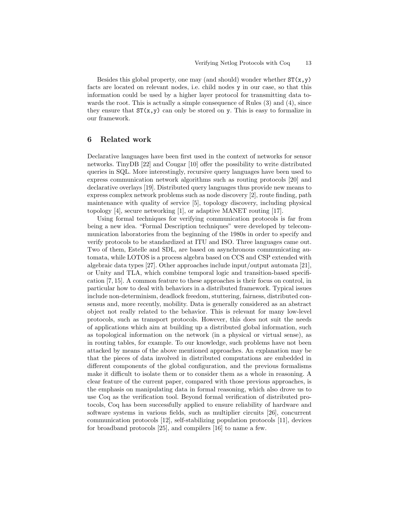Besides this global property, one may (and should) wonder whether  $ST(x,y)$ facts are located on relevant nodes, i.e. child nodes y in our case, so that this information could be used by a higher layer protocol for transmitting data towards the root. This is actually a simple consequence of Rules  $(3)$  and  $(4)$ , since they ensure that  $ST(x,y)$  can only be stored on y. This is easy to formalize in our framework.

#### 6 Related work

Declarative languages have been first used in the context of networks for sensor networks. TinyDB [22] and Cougar [10] offer the possibility to write distributed queries in SQL. More interestingly, recursive query languages have been used to express communication network algorithms such as routing protocols [20] and declarative overlays [19]. Distributed query languages thus provide new means to express complex network problems such as node discovery [2], route finding, path maintenance with quality of service [5], topology discovery, including physical topology [4], secure networking [1], or adaptive MANET routing [17].

Using formal techniques for verifying communication protocols is far from being a new idea. "Formal Description techniques" were developed by telecommunication laboratories from the beginning of the 1980s in order to specify and verify protocols to be standardized at ITU and ISO. Three languages came out. Two of them, Estelle and SDL, are based on asynchronous communicating automata, while LOTOS is a process algebra based on CCS and CSP extended with algebraic data types [27]. Other approaches include input/output automata [21], or Unity and TLA, which combine temporal logic and transition-based specification [7, 15]. A common feature to these approaches is their focus on control, in particular how to deal with behaviors in a distributed framework. Typical issues include non-determinism, deadlock freedom, stuttering, fairness, distributed consensus and, more recently, mobility. Data is generally considered as an abstract object not really related to the behavior. This is relevant for many low-level protocols, such as transport protocols. However, this does not suit the needs of applications which aim at building up a distributed global information, such as topological information on the network (in a physical or virtual sense), as in routing tables, for example. To our knowledge, such problems have not been attacked by means of the above mentioned approaches. An explanation may be that the pieces of data involved in distributed computations are embedded in different components of the global configuration, and the previous formalisms make it difficult to isolate them or to consider them as a whole in reasoning. A clear feature of the current paper, compared with those previous approaches, is the emphasis on manipulating data in formal reasoning, which also drove us to use Coq as the verification tool. Beyond formal verification of distributed protocols, Coq has been successfully applied to ensure reliability of hardware and software systems in various fields, such as multiplier circuits [26], concurrent communication protocols [12], self-stabilizing population protocols [11], devices for broadband protocols [25], and compilers [16] to name a few.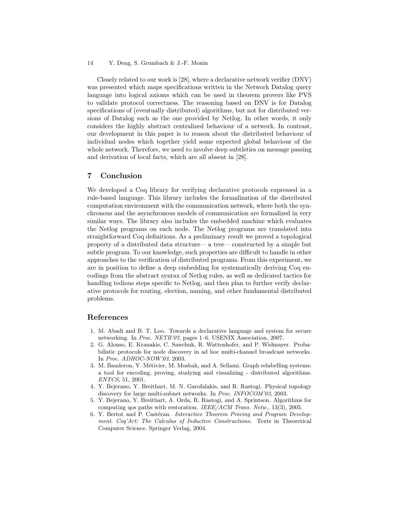#### 14 Y. Deng, S. Grumbach & J.-F. Monin

Closely related to our work is [28], where a declarative network verifier (DNV) was presented which maps specifications written in the Network Datalog query language into logical axioms which can be used in theorem provers like PVS to validate protocol correctness. The reasoning based on DNV is for Datalog specifications of (eventually distributed) algorithms, but not for distributed versions of Datalog such as the one provided by Netlog. In other words, it only considers the highly abstract centralized behaviour of a network. In contrast, our development in this paper is to reason about the distributed behaviour of individual nodes which together yield some expected global behaviour of the whole network. Therefore, we need to involve deep subtleties on message passing and derivation of local facts, which are all absent in [28].

#### 7 Conclusion

We developed a Coq library for verifying declarative protocols expressed in a rule-based language. This library includes the formalization of the distributed computation environment with the communication network, where both the synchronous and the asynchronous models of communication are formalized in very similar ways. The library also includes the embedded machine which evaluates the Netlog programs on each node. The Netlog programs are translated into straightforward Coq definitions. As a preliminary result we proved a topological property of a distributed data structure – a tree – constructed by a simple but subtle program. To our knowledge, such properties are difficult to handle in other approaches to the verification of distributed programs. From this experiment, we are in position to define a deep embedding for systematically deriving Coq encodings from the abstract syntax of Netlog rules, as well as dedicated tactics for handling tedious steps specific to Netlog, and then plan to further verify declarative protocols for routing, election, naming, and other fundamental distributed problems.

## References

- 1. M. Abadi and B. T. Loo. Towards a declarative language and system for secure networking. In *Proc. NETB'07*, pages 1–6. USENIX Association, 2007.
- 2. G. Alonso, E. Kranakis, C. Sawchuk, R. Wattenhofer, and P. Widmayer. Probabilistic protocols for node discovery in ad hoc multi-channel broadcast networks. In *Proc. ADHOC-NOW'03*, 2003.
- 3. M. Bauderon, Y. Métivier, M. Mosbah, and A. Sellami. Graph relabelling systems: a tool for encoding, proving, studying and visualizing - distributed algorithms. *ENTCS*, 51, 2001.
- 4. Y. Bejerano, Y. Breitbart, M. N. Garofalakis, and R. Rastogi. Physical topology discovery for large multi-subnet networks. In *Proc. INFOCOM'03*, 2003.
- 5. Y. Bejerano, Y. Breitbart, A. Orda, R. Rastogi, and A. Sprintson. Algorithms for computing qos paths with restoration. *IEEE/ACM Trans. Netw.*, 13(3), 2005.
- 6. Y. Bertot and P. Castéran. *Interactive Theorem Proving and Program Development. Coq'Art: The Calculus of Inductive Constructions*. Texts in Theoretical Computer Science. Springer Verlag, 2004.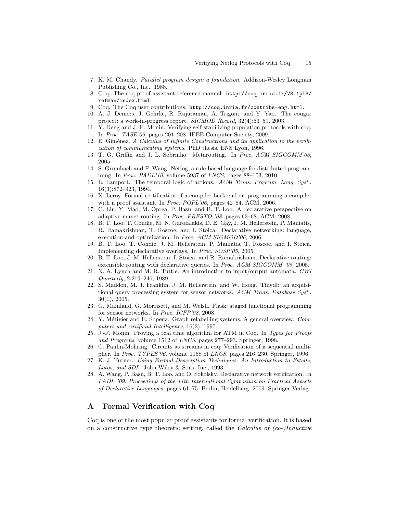- 7. K. M. Chandy. *Parallel program design: a foundation*. Addison-Wesley Longman Publishing Co., Inc., 1988.
- 8. Coq. The coq proof assistant reference manual. http://coq.inria.fr/V8.1pl3/ refman/index.html.
- 9. Coq. The Coq user contributions. http://coq.inria.fr/contribs-eng.html.
- 10. A. J. Demers, J. Gehrke, R. Rajaraman, A. Trigoni, and Y. Yao. The cougar project: a work-in-progress report. *SIGMOD Record*, 32(4):53–59, 2003.
- 11. Y. Deng and J.-F. Monin. Verifying self-stabilizing population protocols with coq. In *Proc. TASE'09*, pages 201–208. IEEE Computer Society, 2009.
- 12. E. Giménez. *A Calculus of Infinite Constructions and its application to the verification of communicating systems*. PhD thesis, ENS Lyon, 1996.
- 13. T. G. Griffin and J. L. Sobrinho. Metarouting. In *Proc. ACM SIGCOMM'05*, 2005.
- 14. S. Grumbach and F. Wang. Netlog, a rule-based language for distributed programming. In *Proc. PADL'10*, volume 5937 of *LNCS*, pages 88–103, 2010.
- 15. L. Lamport. The temporal logic of actions. *ACM Trans. Program. Lang. Syst.*, 16(3):872–923, 1994.
- 16. X. Leroy. Formal certification of a compiler back-end or: programming a compiler with a proof assistant. In *Proc. POPL'06*, pages 42–54. ACM, 2006.
- 17. C. Liu, Y. Mao, M. Oprea, P. Basu, and B. T. Loo. A declarative perspective on adaptive manet routing. In *Proc. PRESTO '08*, pages 63–68. ACM, 2008.
- 18. B. T. Loo, T. Condie, M. N. Garofalakis, D. E. Gay, J. M. Hellerstein, P. Maniatis, R. Ramakrishnan, T. Roscoe, and I. Stoica. Declarative networking: language, execution and optimization. In *Proc. ACM SIGMOD'06*, 2006.
- 19. B. T. Loo, T. Condie, J. M. Hellerstein, P. Maniatis, T. Roscoe, and I. Stoica. Implementing declarative overlays. In *Proc. SOSP'05*, 2005.
- 20. B. T. Loo, J. M. Hellerstein, I. Stoica, and R. Ramakrishnan. Declarative routing: extensible routing with declarative queries. In *Proc. ACM SIGCOMM '05*, 2005.
- 21. N. A. Lynch and M. R. Tuttle. An introduction to input/output automata. *CWI Quarterly*, 2:219–246, 1989.
- 22. S. Madden, M. J. Franklin, J. M. Hellerstein, and W. Hong. Tinydb: an acquisitional query processing system for sensor networks. *ACM Trans. Database Syst.*, 30(1), 2005.
- 23. G. Mainland, G. Morrisett, and M. Welsh. Flask: staged functional programming for sensor networks. In *Proc. ICFP'08*, 2008.
- 24. Y. Métivier and E. Sopena. Graph relabelling systems: A general overview. *Computers and Artificial Intelligence*, 16(2), 1997.
- 25. J.-F. Monin. Proving a real time algorithm for ATM in Coq. In *Types for Proofs and Programs*, volume 1512 of *LNCS*, pages 277–293. Springer, 1998.
- 26. C. Paulin-Mohring. Circuits as streams in coq: Verification of a sequential multiplier. In *Proc. TYPES'96*, volume 1158 of *LNCS*, pages 216–230. Springer, 1996.
- 27. K. J. Turner. *Using Formal Description Techniques: An Introduction to Estelle, Lotos, and SDL*. John Wiley & Sons, Inc., 1993.
- 28. A. Wang, P. Basu, B. T. Loo, and O. Sokolsky. Declarative network verification. In *PADL '09: Proceedings of the 11th International Symposium on Practical Aspects of Declarative Languages*, pages 61–75, Berlin, Heidelberg, 2009. Springer-Verlag.

### A Formal Verification with Coq

Coq is one of the most popular proof assistants for formal verification. It is based on a constructive type theoretic setting, called the Calculus of  $(co-)Inductive$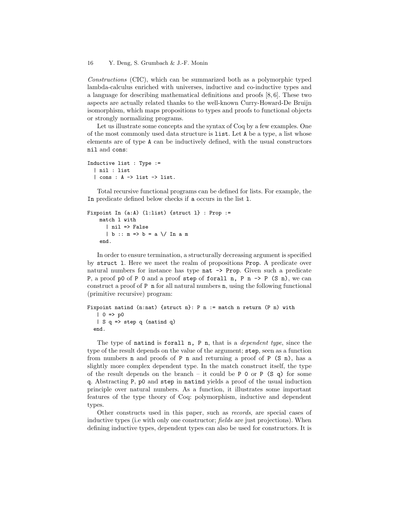#### 16 Y. Deng, S. Grumbach & J.-F. Monin

Constructions (CIC), which can be summarized both as a polymorphic typed lambda-calculus enriched with universes, inductive and co-inductive types and a language for describing mathematical definitions and proofs [8, 6]. These two aspects are actually related thanks to the well-known Curry-Howard-De Bruijn isomorphism, which maps propositions to types and proofs to functional objects or strongly normalizing programs.

Let us illustrate some concepts and the syntax of Coq by a few examples. One of the most commonly used data structure is list. Let A be a type, a list whose elements are of type A can be inductively defined, with the usual constructors nil and cons:

```
Inductive list : Type :=
  | nil : list
  | cons : A -> list -> list.
```
Total recursive functional programs can be defined for lists. For example, the In predicate defined below checks if a occurs in the list l.

```
Fixpoint In (a:A) (l:list) {struct l} : Prop :=
   match l with
      | nil => False
      | b :: m => b = a \/ In a m
    end.
```
In order to ensure termination, a structurally decreasing argument is specified by struct l. Here we meet the realm of propositions Prop. A predicate over natural numbers for instance has type nat -> Prop. Given such a predicate P, a proof p0 of P 0 and a proof step of forall n, P n  $\rightarrow$  P (S n), we can construct a proof of P n for all natural numbers n, using the following functional (primitive recursive) program:

```
Fixpoint natind (n:nat) {struct n}: P n := match n return (P n) with
  | 0 \Rightarrow p0| S q => step q (natind q)
  end.
```
The type of natind is forall n, P n, that is a *dependent type*, since the type of the result depends on the value of the argument; step, seen as a function from numbers **n** and proofs of **P n** and returning a proof of **P**  $(S \nvert n)$ , has a slightly more complex dependent type. In the match construct itself, the type of the result depends on the branch – it could be  $P$  0 or  $P$  (S q) for some q. Abstracting P, p0 and step in natind yields a proof of the usual induction principle over natural numbers. As a function, it illustrates some important features of the type theory of Coq: polymorphism, inductive and dependent types.

Other constructs used in this paper, such as records, are special cases of inductive types (i.e with only one constructor; *fields* are just projections). When defining inductive types, dependent types can also be used for constructors. It is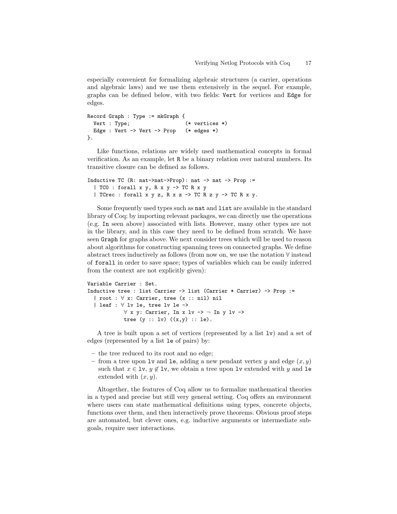especially convenient for formalizing algebraic structures (a carrier, operations and algebraic laws) and we use them extensively in the sequel. For example, graphs can be defined below, with two fields: Vert for vertices and Edge for edges.

```
Record Graph : Type := mkGraph {
 Vert : Type; (* vertices *)
 Edge : Vert -> Vert -> Prop (* edges *)
}.
```
Like functions, relations are widely used mathematical concepts in formal verification. As an example, let R be a binary relation over natural numbers. Its transitive closure can be defined as follows.

```
Inductive TC (R: nat->nat->Prop): nat -> nat -> Prop :=
  | TC0 : forall x y, R x y -> TC R x y
  | TCrec : forall x y z, R x z \rightarrow TC R z y \rightarrow TC R x y.
```
Some frequently used types such as nat and list are available in the standard library of Coq; by importing relevant packages, we can directly use the operations (e.g. In seen above) associated with lists. However, many other types are not in the library, and in this case they need to be defined from scratch. We have seen Graph for graphs above. We next consider trees which will be used to reason about algorithms for constructing spanning trees on connected graphs. We define abstract trees inductively as follows (from now on, we use the notation ∀ instead of forall in order to save space; types of variables which can be easily inferred from the context are not explicitly given):

```
Variable Carrier : Set.
Inductive tree : list Carrier -> list (Carrier * Carrier) -> Prop :=
  | root : ∀ x: Carrier, tree (x :: nil) nil
  | leaf : ∀ lv le, tree lv le ->
           ∀ x y: Carrier, In x lv -> ¬ In y lv ->
           tree (y :: 1v) ((x,y) :: 1e).
```
A tree is built upon a set of vertices (represented by a list lv) and a set of edges (represented by a list le of pairs) by:

- the tree reduced to its root and no edge;
- from a tree upon lv and le, adding a new pendant vertex y and edge  $(x, y)$ such that  $x \in \text{lv}$ ,  $y \notin \text{lv}$ , we obtain a tree upon lv extended with y and le extended with  $(x, y)$ .

Altogether, the features of Coq allow us to formalize mathematical theories in a typed and precise but still very general setting. Coq offers an environment where users can state mathematical definitions using types, concrete objects, functions over them, and then interactively prove theorems. Obvious proof steps are automated, but clever ones, e.g. inductive arguments or intermediate subgoals, require user interactions.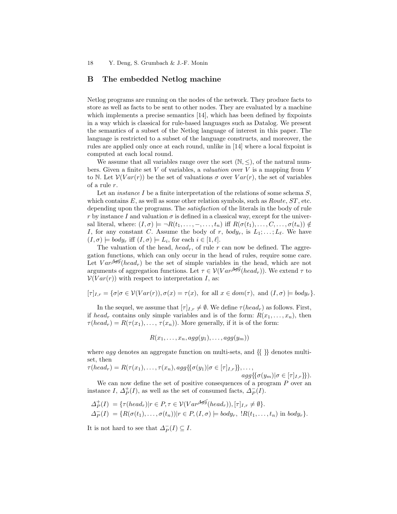### B The embedded Netlog machine

Netlog programs are running on the nodes of the network. They produce facts to store as well as facts to be sent to other nodes. They are evaluated by a machine which implements a precise semantics [14], which has been defined by fixpoints in a way which is classical for rule-based languages such as Datalog. We present the semantics of a subset of the Netlog language of interest in this paper. The language is restricted to a subset of the language constructs, and moreover, the rules are applied only once at each round, unlike in [14] where a local fixpoint is computed at each local round.

We assume that all variables range over the sort  $(N, \leq)$ , of the natural numbers. Given a finite set V of variables, a *valuation* over V is a mapping from V to N. Let  $V(Var(r))$  be the set of valuations  $\sigma$  over  $Var(r)$ , the set of variables of a rule r.

Let an *instance*  $I$  be a finite interpretation of the relations of some schema  $S$ , which contains  $E$ , as well as some other relation symbols, such as  $Route, ST$ , etc. depending upon the programs. The satisfaction of the literals in the body of rule r by instance I and valuation  $\sigma$  is defined in a classical way, except for the universal literal, where:  $(I, \sigma) \models \neg R(t_1, \ldots, -, \ldots, t_n)$  iff  $R(\sigma(t_1), \ldots, C, \ldots, \sigma(t_n)) \notin$ I, for any constant C. Assume the body of r,  $body_r$ , is  $L_1; \ldots; L_{\ell}$ . We have  $(I,\sigma) \models body_r \text{ iff } (I,\sigma) \models L_i \text{, for each } i \in [1,\ell].$ 

The valuation of the head, head<sub>r</sub>, of rule r can now be defined. The aggregation functions, which can only occur in the head of rules, require some care. Let  $Var^{\mathcal{AG}(head_r)}$  be the set of simple variables in the head, which are not arguments of aggregation functions. Let  $\tau \in V(Var^{AG}(head_r))$ . We extend  $\tau$  to  $V(Var(r))$  with respect to interpretation I, as:

$$
[\tau]_{I,r} = {\sigma | \sigma \in \mathcal{V}(Var(r)), \sigma(x) = \tau(x), \text{ for all } x \in dom(\tau), \text{ and } (I, \sigma) \models body_r}.
$$

In the sequel, we assume that  $[\tau]_{I,r} \neq \emptyset$ . We define  $\tau(head_r)$  as follows. First, if head<sub>r</sub> contains only simple variables and is of the form:  $R(x_1, \ldots, x_n)$ , then  $\tau(head_r) = R(\tau(x_1), \ldots, \tau(x_n)).$  More generally, if it is of the form:

$$
R(x_1,\ldots,x_n,agg(y_1),\ldots,agg(y_m))
$$

where *agg* denotes an aggregate function on multi-sets, and  $\{\}\}$  denotes multiset, then

$$
\tau(head_r) = R(\tau(x_1), \dots, \tau(x_n), agg\{\{\sigma(y_1)|\sigma \in [\tau]_{I,r}\}\}, \dots, \\agg\{\{\sigma(y_m)|\sigma \in [\tau]_{I,r}\}\}).
$$
  
We can now define the set of positive consequences of a program P over an

We can now define the set of positive consequences of a program P over an instance I,  $\Delta_P^+(I)$ , as well as the set of consumed facts,  $\Delta_P^-(I)$ .

$$
\Delta_P^+(I) = \{\tau(head_r)|r \in P, \tau \in \mathcal{V}(Var^{\mathcal{AG}(head_r)}), [\tau]_{I,r} \neq \emptyset\}.
$$
  
\n
$$
\Delta_P^-(I) = \{R(\sigma(t_1), \dots, \sigma(t_n))|r \in P, (I, \sigma) \models body_r, \exists R(t_1, \dots, t_n) \text{ in } body_r\}.
$$

It is not hard to see that  $\Delta_P^-(I) \subseteq I$ .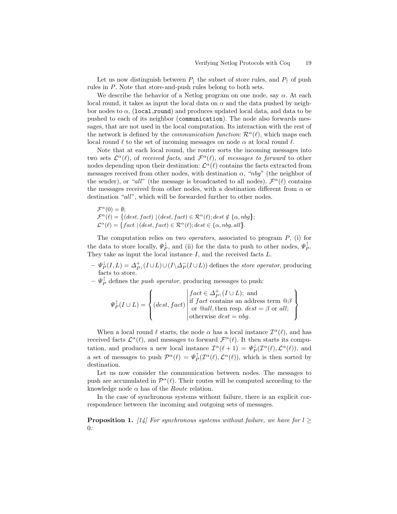Let us now distinguish between  $P_{\perp}$  the subset of store rules, and  $P_{\uparrow}$  of push rules in P. Note that store-and-push rules belong to both sets.

We describe the behavior of a Netlog program on one node, say  $\alpha$ . At each local round, it takes as input the local data on  $\alpha$  and the data pushed by neighbor nodes to  $\alpha$ , (local round) and produces updated local data, and data to be pushed to each of its neighbor (communication). The node also forwards messages, that are not used in the local computation. Its interaction with the rest of the network is defined by the *communication function*:  $\mathcal{R}^{\alpha}(\ell)$ , which maps each local round  $\ell$  to the set of incoming messages on node  $\alpha$  at local round  $\ell$ .

Note that at each local round, the router sorts the incoming messages into two sets  $\mathcal{L}^{\alpha}(\ell)$ , of received facts, and  $\mathcal{F}^{\alpha}(\ell)$ , of messages to forward to other nodes depending upon their destination:  $\mathcal{L}^{\alpha}(\ell)$  contains the facts extracted from messages received from other nodes, with destination  $\alpha$ , "nbg" (the neighbor of the sender), or "all" (the message is broadcasted to all nodes).  $\mathcal{F}^{\alpha}(\ell)$  contains the messages received from other nodes, with a destination different from  $\alpha$  or destination "all", which will be forwarded further to other nodes.

$$
\mathcal{F}^{\alpha}(0) = \emptyset;
$$
  
\n
$$
\mathcal{F}^{\alpha}(\ell) = \{ (dest, fact) \mid (dest, fact) \in \mathcal{R}^{\alpha}(\ell); dest \notin \{\alpha, nbg\};
$$
  
\n
$$
\mathcal{L}^{\alpha}(\ell) = \{ fact \mid (dest, fact) \in \mathcal{R}^{\alpha}(\ell); dest \in \{\alpha, nbg, all\}.
$$

The computation relies on two *operators*, associated to program  $P$ , (i) for the data to store locally,  $\Psi_P^{\downarrow}$ , and (ii) for the data to push to other nodes,  $\Psi_P^{\uparrow}$ . They take as input the local instance  $I$ , and the received facts  $L$ .

- $-\Psi_P^{\downarrow}(I,L) = \Delta_{P^{\downarrow}}^+(I \cup L) \cup (I \setminus \Delta_P^-(I \cup L))$  defines the *store operator*, producing facts to store.
- $-\Psi_P^{\uparrow}$  defines the *push operator*, producing messages to push:

$$
\Psi_P^{\uparrow}(I \cup L) = \left\{ (dest, fact) \begin{vmatrix} fact \in \Delta_{P^{\uparrow}}^+(I \cup L); \text{ and} \\ if \, fact \, contains an \, address \, term \, @ \beta \\ \text{or} \, @ all, \, then \, resp. \, dest = \beta \, \, or \, \, all; \\ otherwise \, \, dest = \, nbg. \end{vmatrix} \right\}
$$

When a local round  $\ell$  starts, the node  $\alpha$  has a local instance  $\mathcal{I}^{\alpha}(\ell)$ , and has received facts  $\mathcal{L}^{\alpha}(\ell)$ , and messages to forward  $\mathcal{F}^{\alpha}(\ell)$ . It then starts its computation, and produces a new local instance  $\mathcal{I}^{\alpha}(\ell+1) = \Psi^{\downarrow}_P(\mathcal{I}^{\alpha}(\ell), \mathcal{L}^{\alpha}(\ell)),$  and a set of messages to push  $\mathcal{P}^{\alpha}(\ell) = \Psi_P^{\dagger}(\mathcal{I}^{\alpha}(\ell), \mathcal{L}^{\alpha}(\ell)),$  which is then sorted by destination.

Let us now consider the communication between nodes. The messages to push are accumulated in  $\mathcal{P}^{\alpha}(\ell)$ . Their routes will be computed according to the knowledge node  $\alpha$  has of the *Route* relation.

In the case of synchronous systems without failure, there is an explicit correspondence between the incoming and outgoing sets of messages.

**Proposition 1.** [14] For synchronous systems without failure, we have for  $l \geq$  $\theta$ :